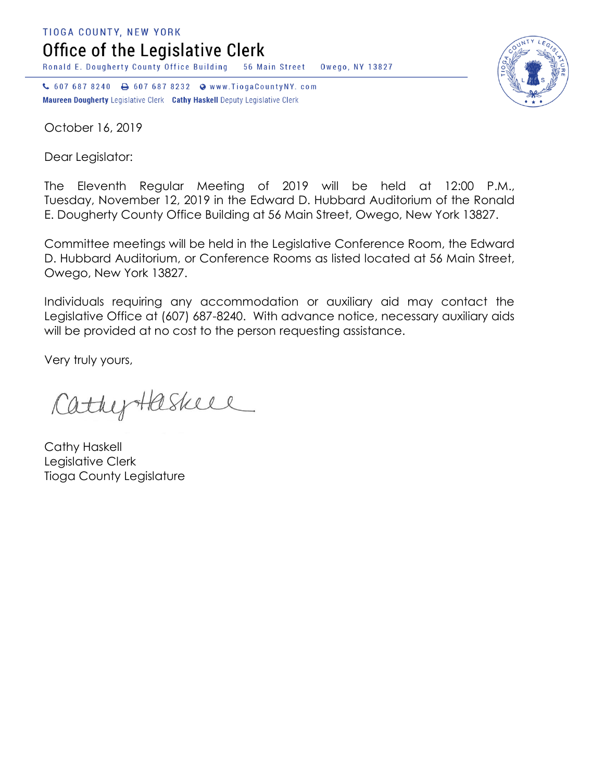**TIOGA COUNTY, NEW YORK** 

Office of the Legislative Clerk

Ronald E. Dougherty County Office Building 56 Main Street Owego, NY 13827

↓ 607 687 8240 → 607 687 8232 → www.TiogaCountyNY.com Maureen Dougherty Legislative Clerk Cathy Haskell Deputy Legislative Clerk



October 16, 2019

Dear Legislator:

The Eleventh Regular Meeting of 2019 will be held at 12:00 P.M., Tuesday, November 12, 2019 in the Edward D. Hubbard Auditorium of the Ronald E. Dougherty County Office Building at 56 Main Street, Owego, New York 13827.

Committee meetings will be held in the Legislative Conference Room, the Edward D. Hubbard Auditorium, or Conference Rooms as listed located at 56 Main Street, Owego, New York 13827.

Individuals requiring any accommodation or auxiliary aid may contact the Legislative Office at (607) 687-8240. With advance notice, necessary auxiliary aids will be provided at no cost to the person requesting assistance.

Very truly yours,

CathyHaskell

Cathy Haskell Legislative Clerk Tioga County Legislature